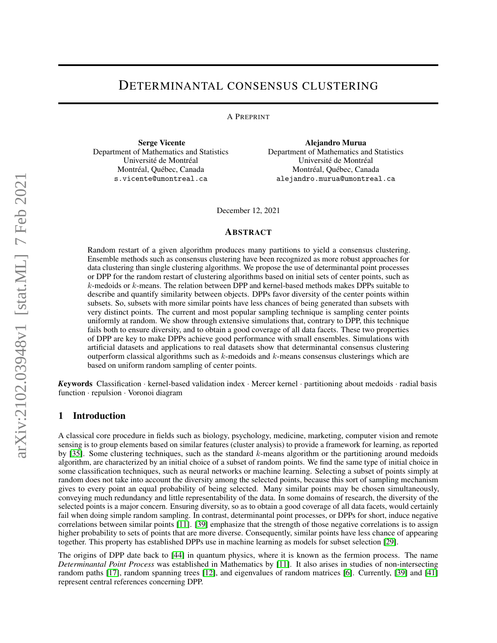# DETERMINANTAL CONSENSUS CLUSTERING

A PREPRINT

Serge Vicente Department of Mathematics and Statistics Université de Montréal Montréal, Québec, Canada s.vicente@umontreal.ca

Alejandro Murua Department of Mathematics and Statistics Université de Montréal Montréal, Québec, Canada alejandro.murua@umontreal.ca

December 12, 2021

### ABSTRACT

Random restart of a given algorithm produces many partitions to yield a consensus clustering. Ensemble methods such as consensus clustering have been recognized as more robust approaches for data clustering than single clustering algorithms. We propose the use of determinantal point processes or DPP for the random restart of clustering algorithms based on initial sets of center points, such as  $k$ -medoids or  $k$ -means. The relation between DPP and kernel-based methods makes DPPs suitable to describe and quantify similarity between objects. DPPs favor diversity of the center points within subsets. So, subsets with more similar points have less chances of being generated than subsets with very distinct points. The current and most popular sampling technique is sampling center points uniformly at random. We show through extensive simulations that, contrary to DPP, this technique fails both to ensure diversity, and to obtain a good coverage of all data facets. These two properties of DPP are key to make DPPs achieve good performance with small ensembles. Simulations with artificial datasets and applications to real datasets show that determinantal consensus clustering outperform classical algorithms such as  $k$ -medoids and  $k$ -means consensus clusterings which are based on uniform random sampling of center points.

*K*eywords Classification · kernel-based validation index · Mercer kernel · partitioning about medoids · radial basis function · repulsion · Voronoi diagram

# 1 Introduction

A classical core procedure in fields such as biology, psychology, medicine, marketing, computer vision and remote sensing is to group elements based on similar features (cluster analysis) to provide a framework for learning, as reported by [\[35\]](#page-15-0). Some clustering techniques, such as the standard  $k$ -means algorithm or the partitioning around medoids algorithm, are characterized by an initial choice of a subset of random points. We find the same type of initial choice in some classification techniques, such as neural networks or machine learning. Selecting a subset of points simply at random does not take into account the diversity among the selected points, because this sort of sampling mechanism gives to every point an equal probability of being selected. Many similar points may be chosen simultaneously, conveying much redundancy and little representability of the data. In some domains of research, the diversity of the selected points is a major concern. Ensuring diversity, so as to obtain a good coverage of all data facets, would certainly fail when doing simple random sampling. In contrast, determinantal point processes, or DPPs for short, induce negative correlations between similar points [\[11\]](#page-14-0). [\[39\]](#page-15-1) emphasize that the strength of those negative correlations is to assign higher probability to sets of points that are more diverse. Consequently, similar points have less chance of appearing together. This property has established DPPs use in machine learning as models for subset selection [\[29\]](#page-15-2).

The origins of DPP date back to [\[44\]](#page-15-3) in quantum physics, where it is known as the fermion process. The name *Determinantal Point Process* was established in Mathematics by [\[11\]](#page-14-0). It also arises in studies of non-intersecting random paths [\[17\]](#page-14-1), random spanning trees [\[12\]](#page-14-2), and eigenvalues of random matrices [\[6\]](#page-14-3). Currently, [\[39\]](#page-15-1) and [\[41\]](#page-15-4) represent central references concerning DPP.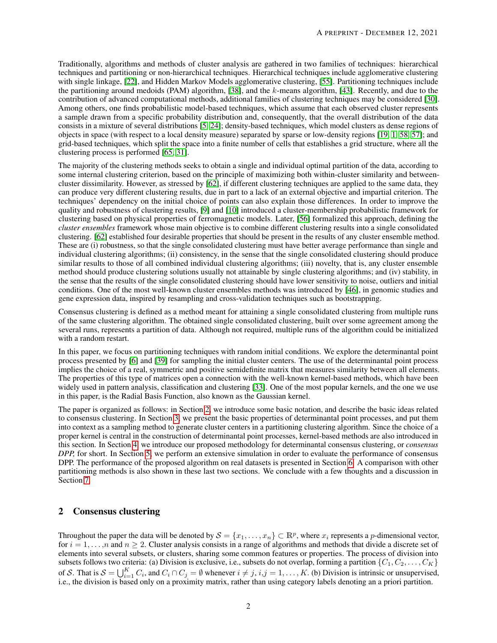Traditionally, algorithms and methods of cluster analysis are gathered in two families of techniques: hierarchical techniques and partitioning or non-hierarchical techniques. Hierarchical techniques include agglomerative clustering with single linkage, [\[22\]](#page-15-5), and Hidden Markov Models agglomerative clustering, [\[55\]](#page-16-0). Partitioning techniques include the partitioning around medoids (PAM) algorithm, [\[38\]](#page-15-6), and the  $k$ -means algorithm, [\[43\]](#page-15-7). Recently, and due to the contribution of advanced computational methods, additional families of clustering techniques may be considered [\[30\]](#page-15-8). Among others, one finds probabilistic model-based techniques, which assume that each observed cluster represents a sample drawn from a specific probability distribution and, consequently, that the overall distribution of the data consists in a mixture of several distributions [\[5,](#page-14-4) [24\]](#page-15-9); density-based techniques, which model clusters as dense regions of objects in space (with respect to a local density measure) separated by sparse or low-density regions [\[19,](#page-14-5) [1,](#page-14-6) [58,](#page-16-1) [57\]](#page-16-2); and grid-based techniques, which split the space into a finite number of cells that establishes a grid structure, where all the clustering process is performed [\[65,](#page-16-3) [31\]](#page-15-10).

The majority of the clustering methods seeks to obtain a single and individual optimal partition of the data, according to some internal clustering criterion, based on the principle of maximizing both within-cluster similarity and betweencluster dissimilarity. However, as stressed by [\[62\]](#page-16-4), if different clustering techniques are applied to the same data, they can produce very different clustering results, due in part to a lack of an external objective and impartial criterion. The techniques' dependency on the initial choice of points can also explain those differences. In order to improve the quality and robustness of clustering results, [\[9\]](#page-14-7) and [\[10\]](#page-14-8) introduced a cluster-membership probabilistic framework for clustering based on physical properties of ferromagnetic models. Later, [\[56\]](#page-16-5) formalized this approach, defining the *cluster ensembles* framework whose main objective is to combine different clustering results into a single consolidated clustering. [\[62\]](#page-16-4) established four desirable properties that should be present in the results of any cluster ensemble method. These are (i) robustness, so that the single consolidated clustering must have better average performance than single and individual clustering algorithms; (ii) consistency, in the sense that the single consolidated clustering should produce similar results to those of all combined individual clustering algorithms; (iii) novelty, that is, any cluster ensemble method should produce clustering solutions usually not attainable by single clustering algorithms; and (iv) stability, in the sense that the results of the single consolidated clustering should have lower sensitivity to noise, outliers and initial conditions. One of the most well-known cluster ensembles methods was introduced by [\[46\]](#page-15-11), in genomic studies and gene expression data, inspired by resampling and cross-validation techniques such as bootstrapping.

Consensus clustering is defined as a method meant for attaining a single consolidated clustering from multiple runs of the same clustering algorithm. The obtained single consolidated clustering, built over some agreement among the several runs, represents a partition of data. Although not required, multiple runs of the algorithm could be initialized with a random restart.

In this paper, we focus on partitioning techniques with random initial conditions. We explore the determinantal point process presented by [\[6\]](#page-14-3) and [\[39\]](#page-15-1) for sampling the initial cluster centers. The use of the determinantal point process implies the choice of a real, symmetric and positive semidefinite matrix that measures similarity between all elements. The properties of this type of matrices open a connection with the well-known kernel-based methods, which have been widely used in pattern analysis, classification and clustering [\[33\]](#page-15-12). One of the most popular kernels, and the one we use in this paper, is the Radial Basis Function, also known as the Gaussian kernel.

The paper is organized as follows: in Section [2,](#page-1-0) we introduce some basic notation, and describe the basic ideas related to consensus clustering. In Section [3,](#page-2-0) we present the basic properties of determinantal point processes, and put them into context as a sampling method to generate cluster centers in a partitioning clustering algorithm. Since the choice of a proper kernel is central in the construction of determinantal point processes, kernel-based methods are also introduced in this section. In Section [4,](#page-4-0) we introduce our proposed methodology for determinantal consensus clustering, or *consensus DPP,* for short. In Section [5,](#page-8-0) we perform an extensive simulation in order to evaluate the performance of consensus DPP. The performance of the proposed algorithm on real datasets is presented in Section [6.](#page-11-0) A comparison with other partitioning methods is also shown in these last two sections. We conclude with a few thoughts and a discussion in Section [7.](#page-13-0)

# <span id="page-1-0"></span>2 Consensus clustering

Throughout the paper the data will be denoted by  $S = \{x_1, \ldots, x_n\} \subset \mathbb{R}^p$ , where  $x_i$  represents a *p*-dimensional vector, for  $i = 1, \ldots, n$  and  $n \ge 2$ . Cluster analysis consists in a range of algorithms and methods that divide a discrete set of elements into several subsets, or clusters, sharing some common features or properties. The process of division into subsets follows two criteria: (a) Division is exclusive, i.e., subsets do not overlap, forming a partition  $\{C_1, C_2, \ldots, C_K\}$ of S. That is  $S = \bigcup_{i=1}^{K} C_i$ , and  $C_i \cap C_j = \emptyset$  whenever  $i \neq j$ ,  $i,j = 1, ..., K$ . (b) Division is intrinsic or unsupervised, i.e., the division is based only on a proximity matrix, rather than using category labels denoting an a priori partition.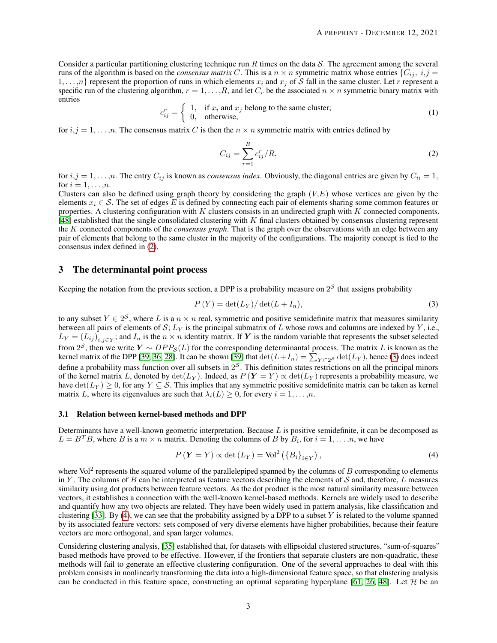<span id="page-2-5"></span>Consider a particular partitioning clustering technique run R times on the data S. The agreement among the several runs of the algorithm is based on the *consensus matrix* C. This is a  $n \times n$  symmetric matrix whose entries  $\{C_{ij}, i,j =$  $1, \ldots, n$ } represent the proportion of runs in which elements  $x_i$  and  $x_j$  of S fall in the same cluster. Let r represent a specific run of the clustering algorithm,  $r = 1, \ldots, R$ , and let  $C_r$  be the associated  $n \times n$  symmetric binary matrix with entries

$$
c_{ij}^r = \begin{cases} 1, & \text{if } x_i \text{ and } x_j \text{ belong to the same cluster;} \\ 0, & \text{otherwise,} \end{cases}
$$
 (1)

for  $i, j = 1, \ldots, n$ . The consensus matrix C is then the  $n \times n$  symmetric matrix with entries defined by

<span id="page-2-1"></span>
$$
C_{ij} = \sum_{r=1}^{R} c_{ij}^r / R,\tag{2}
$$

for  $i, j = 1, \ldots, n$ . The entry  $C_{ij}$  is known as *consensus index*. Obviously, the diagonal entries are given by  $C_{ii} = 1$ , for  $i = 1, \ldots, n$ .

Clusters can also be defined using graph theory by considering the graph  $(V,E)$  whose vertices are given by the elements  $x_i \in S$ . The set of edges E is defined by connecting each pair of elements sharing some common features or properties. A clustering configuration with  $K$  clusters consists in an undirected graph with  $K$  connected components.  $[48]$  established that the single consolidated clustering with K final clusters obtained by consensus clustering represent the K connected components of the *consensus graph*. That is the graph over the observations with an edge between any pair of elements that belong to the same cluster in the majority of the configurations. The majority concept is tied to the consensus index defined in [\(2\)](#page-2-1).

### <span id="page-2-0"></span>3 The determinantal point process

Keeping the notation from the previous section, a DPP is a probability measure on  $2<sup>S</sup>$  that assigns probability

<span id="page-2-2"></span>
$$
P(Y) = \det(L_Y)/\det(L + I_n),\tag{3}
$$

to any subset  $Y \in 2^S$ , where L is a  $n \times n$  real, symmetric and positive semidefinite matrix that measures similarity between all pairs of elements of S;  $L<sub>Y</sub>$  is the principal submatrix of L whose rows and columns are indexed by Y, i.e.,  $L_Y = (L_{ij})_{i,j \in Y}$ ; and  $I_n$  is the  $n \times n$  identity matrix. If Y is the random variable that represents the subset selected from  $2^S$ , then we write  $Y \sim DPP_S(L)$  for the corresponding determinantal process. The matrix L is known as the kernel matrix of the DPP [\[39,](#page-15-1) [36,](#page-15-13) [28\]](#page-15-14). It can be shown [\[39\]](#page-15-1) that  $\det(L+I_n) = \sum_{Y \subset 2^S} \det(L_Y)$ , hence [\(3\)](#page-2-2) does indeed define a probability mass function over all subsets in  $2<sup>S</sup>$ . This definition states restrictions on all the principal minors of the kernel matrix L, denoted by  $\det(L_Y)$ . Indeed, as  $P(Y = Y) \propto \det(L_Y)$  represents a probability measure, we have  $\det(L_Y) \ge 0$ , for any  $Y \subseteq S$ . This implies that any symmetric positive semidefinite matrix can be taken as kernel matrix L, where its eigenvalues are such that  $\lambda_i(L) > 0$ , for every  $i = 1, \ldots, n$ .

#### <span id="page-2-4"></span>3.1 Relation between kernel-based methods and DPP

Determinants have a well-known geometric interpretation. Because  $L$  is positive semidefinite, it can be decomposed as  $L = B<sup>T</sup>B$ , where B is a  $m \times n$  matrix. Denoting the columns of B by  $B<sub>i</sub>$ , for  $i = 1, ..., n$ , we have

<span id="page-2-3"></span>
$$
P(Y = Y) \propto \det(L_Y) = \text{Vol}^2(\{B_i\}_{i \in Y}),\tag{4}
$$

where Vol<sup>2</sup> represents the squared volume of the parallelepiped spanned by the columns of  $B$  corresponding to elements in Y. The columns of B can be interpreted as feature vectors describing the elements of S and, therefore,  $L$  measures similarity using dot products between feature vectors. As the dot product is the most natural similarity measure between vectors, it establishes a connection with the well-known kernel-based methods. Kernels are widely used to describe and quantify how any two objects are related. They have been widely used in pattern analysis, like classification and clustering [\[33\]](#page-15-12). By [\(4\)](#page-2-3), we can see that the probability assigned by a DPP to a subset  $Y$  is related to the volume spanned by its associated feature vectors: sets composed of very diverse elements have higher probabilities, because their feature vectors are more orthogonal, and span larger volumes.

Considering clustering analysis, [\[35\]](#page-15-0) established that, for datasets with ellipsoidal clustered structures, "sum-of-squares" based methods have proved to be effective. However, if the frontiers that separate clusters are non-quadratic, these methods will fail to generate an effective clustering configuration. One of the several approaches to deal with this problem consists in nonlinearly transforming the data into a high-dimensional feature space, so that clustering analysis can be conducted in this feature space, constructing an optimal separating hyperplane [\[61,](#page-16-7) [26,](#page-15-15) [48\]](#page-16-6). Let  $H$  be an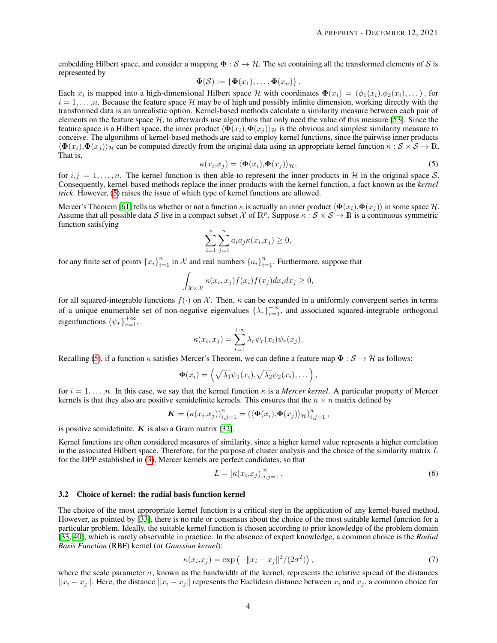embedding Hilbert space, and consider a mapping  $\Phi : \mathcal{S} \to \mathcal{H}$ . The set containing all the transformed elements of S is represented by

$$
\mathbf{\Phi}(\mathcal{S}) := \{ \mathbf{\Phi}(x_1), \ldots, \mathbf{\Phi}(x_n) \}.
$$

Each  $x_i$  is mapped into a high-dimensional Hilbert space H with coordinates  $\Phi(x_i) = (\phi_1(x_i), \phi_2(x_i), \dots)$ , for  $i = 1, \ldots, n$ . Because the feature space H may be of high and possibly infinite dimension, working directly with the transformed data is an unrealistic option. Kernel-based methods calculate a similarity measure between each pair of elements on the feature space  $H$ , to afterwards use algorithms that only need the value of this measure [\[53\]](#page-16-8). Since the feature space is a Hilbert space, the inner product  $\langle \Phi(x_i), \Phi(x_j) \rangle_H$  is the obvious and simplest similarity measure to conceive. The algorithms of kernel-based methods are said to employ kernel functions, since the pairwise inner products  $\langle \Phi(x_i), \Phi(x_j) \rangle$ <sub>H</sub> can be computed directly from the original data using an appropriate kernel function  $\kappa : \mathcal{S} \times \mathcal{S} \to \mathbb{R}$ . That is,

$$
\kappa(x_i, x_j) = \langle \Phi(x_i), \Phi(x_j) \rangle_{\mathcal{H}},\tag{5}
$$

<span id="page-3-0"></span>for  $i, j = 1, \ldots, n$ . The kernel function is then able to represent the inner products in H in the original space S. Consequently, kernel-based methods replace the inner products with the kernel function, a fact known as the *kernel trick*. However, [\(5\)](#page-3-0) raises the issue of which type of kernel functions are allowed.

Mercer's Theorem [\[61\]](#page-16-7) tells us whether or not a function  $\kappa$  is actually an inner product  $\langle \Phi(x_i), \Phi(x_j) \rangle$  in some space H. Assume that all possible data S live in a compact subset X of  $\mathbb{R}^p$ . Suppose  $\kappa: \mathcal{S} \times \mathcal{S} \to \mathbb{R}$  is a continuous symmetric function satisfying

$$
\sum_{i=1}^{n} \sum_{j=1}^{n} a_i a_j \kappa(x_i, x_j) \ge 0,
$$

for any finite set of points  $\{x_i\}_{i=1}^n$  in  $\mathcal X$  and real numbers  $\{a_i\}_{i=1}^n$ . Furthermore, suppose that

$$
\int_{\mathcal{X}\times\mathcal{X}} \kappa(x_i,x_j) f(x_i) f(x_j) dx_i dx_j \geq 0,
$$

for all squared-integrable functions  $f(.)$  on X. Then,  $\kappa$  can be expanded in a uniformly convergent series in terms of a unique enumerable set of non-negative eigenvalues  $\{\lambda_r\}_{r=1}^{+\infty}$ , and associated squared-integrable orthogonal eigenfunctions  $\{\psi_r\}_{r=1}^{+\infty}$ ,

$$
\kappa(x_i, x_j) = \sum_{r=1}^{+\infty} \lambda_r \psi_r(x_i) \psi_r(x_j).
$$

Recalling [\(5\)](#page-3-0), if a function  $\kappa$  satisfies Mercer's Theorem, we can define a feature map  $\Phi : \mathcal{S} \to \mathcal{H}$  as follows:

$$
\mathbf{\Phi}(x_i) = \left(\sqrt{\lambda_1}\psi_1(x_i), \sqrt{\lambda_2}\psi_2(x_i), \dots\right),
$$

for  $i = 1, \ldots, n$ . In this case, we say that the kernel function  $\kappa$  is a *Mercer kernel*. A particular property of Mercer kernels is that they also are positive semidefinite kernels. This ensures that the  $n \times n$  matrix defined by

$$
\mathbf{K} = (\kappa(x_i,x_j))_{i,j=1}^n = (\langle \mathbf{\Phi}(x_i), \mathbf{\Phi}(x_j) \rangle_{\mathcal{H}})_{i,j=1}^n,
$$

is positive semidefinite.  $K$  is also a Gram matrix [\[32\]](#page-15-16).

Kernel functions are often considered measures of similarity, since a higher kernel value represents a higher correlation in the associated Hilbert space. Therefore, for the purpose of cluster analysis and the choice of the similarity matrix  $L$ for the DPP established in [\(3\)](#page-2-2), Mercer kernels are perfect candidates, so that

<span id="page-3-2"></span>
$$
L = [\kappa(x_i, x_j)]_{i,j=1}^n.
$$
\n(6)

#### 3.2 Choice of kernel: the radial basis function kernel

The choice of the most appropriate kernel function is a critical step in the application of any kernel-based method. However, as pointed by [\[33\]](#page-15-12), there is no rule or consensus about the choice of the most suitable kernel function for a particular problem. Ideally, the suitable kernel function is chosen according to prior knowledge of the problem domain [\[33,](#page-15-12) [40\]](#page-15-17), which is rarely observable in practice. In the absence of expert knowledge, a common choice is the *Radial Basis Function* (RBF) kernel (or *Gaussian kernel*):

<span id="page-3-1"></span>
$$
\kappa(x_i, x_j) = \exp\left(-\|x_i - x_j\|^2 / (2\sigma^2)\right),\tag{7}
$$

where the scale parameter  $\sigma$ , known as the bandwidth of the kernel, represents the relative spread of the distances  $||x_i - x_j||$ . Here, the distance  $||x_i - x_j||$  represents the Euclidean distance between  $x_i$  and  $x_j$ , a common choice for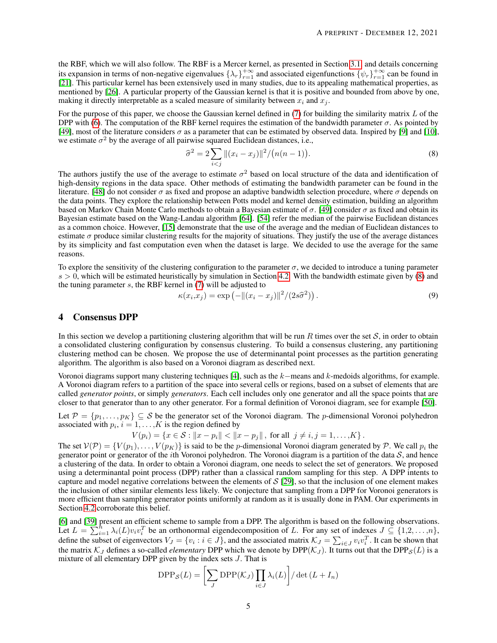the RBF, which we will also follow. The RBF is a Mercer kernel, as presented in Section [3.1,](#page-2-4) and details concerning its expansion in terms of non-negative eigenvalues  $\{\lambda_r\}_{r=1}^{+\infty}$  and associated eigenfunctions  $\{\psi_r\}_{r=1}^{+\infty}$  can be found in [\[21\]](#page-14-9). This particular kernel has been extensively used in many studies, due to its appealing mathematical properties, as mentioned by [\[26\]](#page-15-15). A particular property of the Gaussian kernel is that it is positive and bounded from above by one, making it directly interpretable as a scaled measure of similarity between  $x_i$  and  $x_j$ .

For the purpose of this paper, we choose the Gaussian kernel defined in  $(7)$  for building the similarity matrix L of the DPP with [\(6\)](#page-3-2). The computation of the RBF kernel requires the estimation of the bandwidth parameter  $\sigma$ . As pointed by [\[49\]](#page-16-9), most of the literature considers  $\sigma$  as a parameter that can be estimated by observed data. Inspired by [\[9\]](#page-14-7) and [\[10\]](#page-14-8), we estimate  $\sigma^2$  by the average of all pairwise squared Euclidean distances, i.e.,

<span id="page-4-1"></span>
$$
\hat{\sigma}^2 = 2 \sum_{i < j} \|(x_i - x_j)\|^2 / \big(n(n-1)\big). \tag{8}
$$

The authors justify the use of the average to estimate  $\sigma^2$  based on local structure of the data and identification of high-density regions in the data space. Other methods of estimating the bandwidth parameter can be found in the literature. [\[48\]](#page-16-6) do not consider  $\sigma$  as fixed and propose an adaptive bandwidth selection procedure, where  $\sigma$  depends on the data points. They explore the relationship between Potts model and kernel density estimation, building an algorithm based on Markov Chain Monte Carlo methods to obtain a Bayesian estimate of  $\sigma$ . [\[49\]](#page-16-9) consider  $\sigma$  as fixed and obtain its Bayesian estimate based on the Wang-Landau algorithm [\[64\]](#page-16-10). [\[54\]](#page-16-11) refer the median of the pairwise Euclidean distances as a common choice. However, [\[15\]](#page-14-10) demonstrate that the use of the average and the median of Euclidean distances to estimate  $\sigma$  produce similar clustering results for the majority of situations. They justify the use of the average distances by its simplicity and fast computation even when the dataset is large. We decided to use the average for the same reasons.

To explore the sensitivity of the clustering configuration to the parameter  $\sigma$ , we decided to introduce a tuning parameter  $s > 0$ , which will be estimated heuristically by simulation in Section [4.2.](#page-6-0) With the bandwidth estimate given by [\(8\)](#page-4-1) and the tuning parameter  $s$ , the RBF kernel in  $(7)$  will be adjusted to

<span id="page-4-2"></span>
$$
\kappa(x_i, x_j) = \exp\left(-\|(x_i - x_j)\|^2 / (2s\widehat{\sigma}^2)\right). \tag{9}
$$

### <span id="page-4-0"></span>4 Consensus DPP

In this section we develop a partitioning clustering algorithm that will be run R times over the set  $S$ , in order to obtain a consolidated clustering configuration by consensus clustering. To build a consensus clustering, any partitioning clustering method can be chosen. We propose the use of determinantal point processes as the partition generating algorithm. The algorithm is also based on a Voronoi diagram as described next.

Voronoi diagrams support many clustering techniques [\[4\]](#page-14-11), such as the k−means and k-medoids algorithms, for example. A Voronoi diagram refers to a partition of the space into several cells or regions, based on a subset of elements that are called *generator points*, or simply *generators*. Each cell includes only one generator and all the space points that are closer to that generator than to any other generator. For a formal definition of Voronoi diagram, see for example [\[50\]](#page-16-12).

Let  $\mathcal{P} = \{p_1, \ldots, p_K\} \subseteq \mathcal{S}$  be the generator set of the Voronoi diagram. The p-dimensional Voronoi polyhedron associated with  $p_i$ ,  $i = 1, ..., K$  is the region defined by

$$
V(p_i) = \{x \in S : ||x - p_i|| < ||x - p_j||, \text{ for all } j \neq i, j = 1, ..., K\}.
$$

The set  $V(\mathcal{P}) = \{V(p_1), \ldots, V(p_K)\}\$  is said to be the p-dimensional Voronoi diagram generated by  $\mathcal{P}$ . We call  $p_i$  the generator point or generator of the *i*th Voronoi polyhedron. The Voronoi diagram is a partition of the data  $S$ , and hence a clustering of the data. In order to obtain a Voronoi diagram, one needs to select the set of generators. We proposed using a determinantal point process (DPP) rather than a classical random sampling for this step. A DPP intents to capture and model negative correlations between the elements of  $S$  [\[29\]](#page-15-2), so that the inclusion of one element makes the inclusion of other similar elements less likely. We conjecture that sampling from a DPP for Voronoi generators is more efficient than sampling generator points uniformly at random as it is usually done in PAM. Our experiments in Section [4.2](#page-6-0) corroborate this belief.

[\[6\]](#page-14-3) and [\[39\]](#page-15-1) present an efficient scheme to sample from a DPP. The algorithm is based on the following observations. Let  $L = \sum_{i=1}^{h} \lambda_i(L) v_i v_i^T$  be an orthonormal eigendecomposition of L. For any set of indexes  $J \subseteq \{1,2,\ldots,n\}$ , define the subset of eigenvectors  $V_J = \{v_i : i \in J\}$ , and the associated matrix  $\mathcal{K}_J = \sum_{i \in J} v_i v_i^T$ . It can be shown that the matrix  $K_J$  defines a so-called *elementary* DPP which we denote by DPP( $K_J$ ). It turns out that the DPP<sub>S</sub>(L) is a mixture of all elementary DPP given by the index sets J. That is

$$
\text{DPP}_{\mathcal{S}}(L) = \left[\sum_{J} \text{DPP}(\mathcal{K}_{J}) \prod_{i \in J} \lambda_{i}(L)\right] / \det(L + I_{n})
$$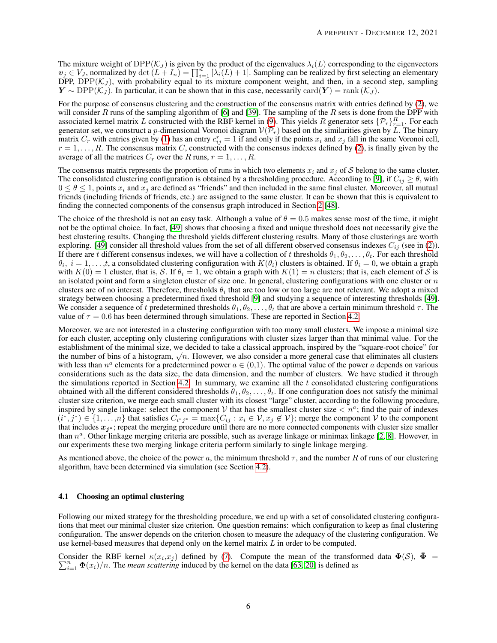The mixture weight of  $DPP(K_J)$  is given by the product of the eigenvalues  $\lambda_i(L)$  corresponding to the eigenvectors  $v_j \in V_J$ , normalized by det  $(L + I_n) = \prod_{i=1}^n [\lambda_i(L) + 1]$ . Sampling can be realized by first selecting an elementary DPP,  $DPP(\mathcal{K}_J)$ , with probability equal to its mixture component weight, and then, in a second step, sampling  $Y \sim \text{DPP}(\mathcal{K}_J)$ . In particular, it can be shown that in this case, necessarily card $(Y) = \text{rank}(\mathcal{K}_J)$ .

For the purpose of consensus clustering and the construction of the consensus matrix with entries defined by [\(2\)](#page-2-1), we will consider R runs of the sampling algorithm of [\[6\]](#page-14-3) and [\[39\]](#page-15-1). The sampling of the R sets is done from the DPP with associated kernel matrix L constructed with the RBF kernel in [\(9\)](#page-4-2). This yields R generator sets  $\{\mathcal{P}_r\}_{r=1}^R$ . For each generator set, we construct a p-dimensional Voronoi diagram  $V(\mathcal{P}_r)$  based on the similarities given by L. The binary matrix  $C_r$  with entries given by [\(1\)](#page-2-5) has an entry  $c_{ij}^r = 1$  if and only if the points  $x_i$  and  $x_j$  fall in the same Voronoi cell,  $r = 1, \ldots, R$ . The consensus matrix C, constructed with the consensus indexes defined by [\(2\)](#page-2-1), is finally given by the average of all the matrices  $C_r$  over the R runs,  $r = 1, \ldots, R$ .

The consensus matrix represents the proportion of runs in which two elements  $x_i$  and  $x_j$  of S belong to the same cluster. The consolidated clustering configuration is obtained by a thresholding procedure. According to [\[9\]](#page-14-7), if  $C_{ii} \ge \theta$ , with  $0 \le \theta \le 1$ , points  $x_i$  and  $x_j$  are defined as "friends" and then included in the same final cluster. Moreover, all mutual friends (including friends of friends, etc.) are assigned to the same cluster. It can be shown that this is equivalent to finding the connected components of the consensus graph introduced in Section [2](#page-1-0) [\[48\]](#page-16-6).

The choice of the threshold is not an easy task. Although a value of  $\theta = 0.5$  makes sense most of the time, it might not be the optimal choice. In fact, [\[49\]](#page-16-9) shows that choosing a fixed and unique threshold does not necessarily give the best clustering results. Changing the threshold yields different clustering results. Many of those clusterings are worth exploring. [\[49\]](#page-16-9) consider all threshold values from the set of all different observed consensus indexes  $C_{ij}$  (see in [\(2\)](#page-2-1)). If there are t different consensus indexes, we will have a collection of t thresholds  $\theta_1, \theta_2, \ldots, \theta_t$ . For each threshold  $\theta_i$ ,  $i=1,\ldots,t$ , a consolidated clustering configuration with  $K(\theta_i)$  clusters is obtained. If  $\theta_i=0$ , we obtain a graph with  $K(0) = 1$  cluster, that is, S. If  $\theta_i = 1$ , we obtain a graph with  $K(1) = n$  clusters; that is, each element of S is an isolated point and form a singleton cluster of size one. In general, clustering configurations with one cluster or  $n$ clusters are of no interest. Therefore, thresholds  $\theta_i$  that are too low or too large are not relevant. We adopt a mixed strategy between choosing a predetermined fixed threshold [\[9\]](#page-14-7) and studying a sequence of interesting thresholds [\[49\]](#page-16-9). We consider a sequence of t predetermined thresholds  $\theta_1, \theta_2, \ldots, \theta_t$  that are above a certain minimum threshold  $\tau$ . The value of  $\tau = 0.6$  has been determined through simulations. These are reported in Section [4.2.](#page-6-0)

Moreover, we are not interested in a clustering configuration with too many small clusters. We impose a minimal size for each cluster, accepting only clustering configurations with cluster sizes larger than that minimal value. For the establishment of the minimal size, we decided to take a classical approach, inspired by the "square-root choice" for establishment of the minimal size, we decided to take a classical approach, inspired by the "square-root choice" for<br>the number of bins of a histogram,  $\sqrt{n}$ . However, we also consider a more general case that eliminates with less than  $n^a$  elements for a predetermined power  $a \in (0,1)$ . The optimal value of the power a depends on various considerations such as the data size, the data dimension, and the number of clusters. We have studied it through the simulations reported in Section [4.2.](#page-6-0) In summary, we examine all the  $t$  consolidated clustering configurations obtained with all the different considered thresholds  $\theta_1, \theta_2, \ldots, \theta_t$ . If one configuration does not satisfy the minimal cluster size criterion, we merge each small cluster with its closest "large" cluster, according to the following procedure, inspired by single linkage: select the component V that has the smallest cluster size  $\langle n^a$ ; find the pair of indexes  $(i^*, j^*) \in \{1, \ldots, n\}$  that satisfies  $C_{i^*j^*} = \max\{C_{ij} : x_i \in \mathcal{V}, x_j \notin \mathcal{V}\}$ ; merge the component  $\mathcal{V}$  to the component that includes  $x_{j^*}$ ; repeat the merging procedure until there are no more connected components with cluster size smaller than  $n^a$ . Other linkage merging criteria are possible, such as average linkage or minimax linkage [\[2,](#page-14-12) [8\]](#page-14-13). However, in our experiments these two merging linkage criteria perform similarly to single linkage merging.

As mentioned above, the choice of the power a, the minimum threshold  $\tau$ , and the number R of runs of our clustering algorithm, have been determined via simulation (see Section [4.2\)](#page-6-0).

#### 4.1 Choosing an optimal clustering

Following our mixed strategy for the thresholding procedure, we end up with a set of consolidated clustering configurations that meet our minimal cluster size criterion. One question remains: which configuration to keep as final clustering configuration. The answer depends on the criterion chosen to measure the adequacy of the clustering configuration. We use kernel-based measures that depend only on the kernel matrix  $L$  in order to be computed.

Consider the RBF kernel  $\kappa(x_i, x_j)$  defined by [\(7\)](#page-3-1). Compute the mean of the transformed data  $\Phi(S)$ ,  $\bar{\Phi} = \sum_{i=1}^n \Phi(x_i)/n$ . The *mean scattering* induced by the kernel on the data [63, 20] is defined as  $\sum_{i=1}^{n} \Phi(x_i)/n$ . The *mean scattering* induced by the kernel on the data [\[63,](#page-16-13) [20\]](#page-14-14) is defined as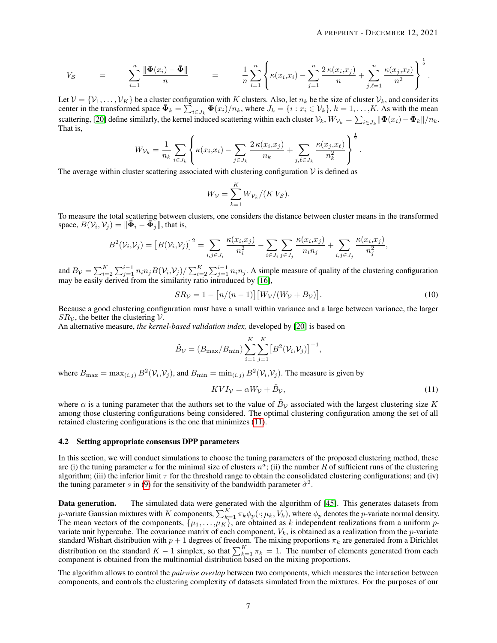$$
V_{\mathcal{S}} = \sum_{i=1}^{n} \frac{\|\Phi(x_i) - \bar{\Phi}\|}{n} = \frac{1}{n} \sum_{i=1}^{n} \left\{ \kappa(x_i, x_i) - \sum_{j=1}^{n} \frac{2 \kappa(x_i, x_j)}{n} + \sum_{j,\ell=1}^{n} \frac{\kappa(x_j, x_{\ell})}{n^2} \right\}^{\frac{1}{2}}.
$$

Let  $V = \{V_1, \ldots, V_K\}$  be a cluster configuration with K clusters. Also, let  $n_k$  be the size of cluster  $V_k$ , and consider its center in the transformed space  $\bar{\mathbf{\Phi}}_k = \sum_{i \in J_k}^{\infty} \mathbf{\Phi}(x_i)/n_k$ , where  $J_k = \{i : x_i \in \mathcal{V}_k\}$ ,  $k = 1, \ldots, K$ . As with the mean scattering, [\[20\]](#page-14-14) define similarly, the kernel induced scattering within each cluster  $\mathcal{V}_k$ ,  $W_{\mathcal{V}_k} = \sum_{i \in J_k} ||\mathbf{\Phi}(x_i) - \mathbf{\bar{\Phi}}_k||/n_k$ . That is, 1

$$
W_{\mathcal{V}_k} = \frac{1}{n_k} \sum_{i \in J_k} \left\{ \kappa(x_i, x_i) - \sum_{j \in J_k} \frac{2 \kappa(x_i, x_j)}{n_k} + \sum_{j, \ell \in J_k} \frac{\kappa(x_j, x_\ell)}{n_k^2} \right\}^{\frac{1}{2}}.
$$

The average within cluster scattering associated with clustering configuration  $\mathcal V$  is defined as

$$
W_{\mathcal{V}} = \sum_{k=1}^{K} W_{\mathcal{V}_k} / (K V_{\mathcal{S}}).
$$

To measure the total scattering between clusters, one considers the distance between cluster means in the transformed space,  $B(\mathcal{V}_i, \mathcal{V}_j) = ||\bar{\mathbf{\Phi}}_i - \bar{\mathbf{\Phi}}_j||$ , that is,

$$
B^{2}(V_{i}, V_{j}) = [B(V_{i}, V_{j})]^{2} = \sum_{i,j \in J_{i}} \frac{\kappa(x_{i}, x_{j})}{n_{i}^{2}} - \sum_{i \in J_{i}} \sum_{j \in J_{j}} \frac{\kappa(x_{i}, x_{j})}{n_{i}n_{j}} + \sum_{i,j \in J_{j}} \frac{\kappa(x_{i}, x_{j})}{n_{j}^{2}},
$$

and  $B_v = \sum_{i=2}^K \sum_{j=1}^{i-1} n_i n_j B(v_i, v_j) / \sum_{i=2}^K \sum_{j=1}^{i-1} n_i n_j$ . A simple measure of quality of the clustering configuration may be easily derived from the similarity ratio introduced by [\[16\]](#page-14-15),

<span id="page-6-2"></span>
$$
SR_V = 1 - \left[n/(n-1)\right] \left[W_V/(W_V + B_V)\right].\tag{10}
$$

Because a good clustering configuration must have a small within variance and a large between variance, the larger  $SR<sub>V</sub>$ , the better the clustering  $V$ .

An alternative measure, *the kernel-based validation index,* developed by [\[20\]](#page-14-14) is based on

$$
\tilde{B}_{\mathcal{V}} = (B_{\text{max}}/B_{\text{min}}) \sum_{i=1}^{K} \sum_{j=1}^{K} [B^2(\mathcal{V}_i, \mathcal{V}_j)]^{-1},
$$

where  $B_{\max} = \max_{(i,j)} B^2(\mathcal{V}_i, \mathcal{V}_j)$ , and  $B_{\min} = \min_{(i,j)} B^2(\mathcal{V}_i, \mathcal{V}_j)$ . The measure is given by

<span id="page-6-1"></span>
$$
KVI_{\mathcal{V}} = \alpha W_{\mathcal{V}} + \tilde{B}_{\mathcal{V}},\tag{11}
$$

where  $\alpha$  is a tuning parameter that the authors set to the value of  $B_V$  associated with the largest clustering size K among those clustering configurations being considered. The optimal clustering configuration among the set of all retained clustering configurations is the one that minimizes [\(11\)](#page-6-1).

#### <span id="page-6-0"></span>4.2 Setting appropriate consensus DPP parameters

In this section, we will conduct simulations to choose the tuning parameters of the proposed clustering method, these are (i) the tuning parameter a for the minimal size of clusters  $n^a$ ; (ii) the number R of sufficient runs of the clustering algorithm; (iii) the inferior limit  $\tau$  for the threshold range to obtain the consolidated clustering configurations; and (iv) the tuning parameter s in [\(9\)](#page-4-2) for the sensitivity of the bandwidth parameter  $\hat{\sigma}^2$ .

Data generation. The simulated data were generated with the algorithm of [\[45\]](#page-15-18). This generates datasets from p-variate Gaussian mixtures with K components,  $\sum_{k=1}^{K} \pi_k \phi_p(\cdot; \mu_k, V_k)$ , where  $\phi_p$  denotes the p-variate normal density. The mean vectors of the components,  $\{\mu_1, \ldots, \mu_K\}$ , are obtained as k independent realizations from a uniform pvariate unit hypercube. The covariance matrix of each component,  $V_k$ , is obtained as a realization from the p-variate standard Wishart distribution with  $p+1$  degrees of freedom. The mixing proportions  $\pi_k$  are generated from a Dirichlet distribution on the standard  $K-1$  simplex, so that  $\sum_{k=1}^{K} \pi_k = 1$ . The number of elements generated from each component is obtained from the multinomial distribution based on the mixing proportions.

The algorithm allows to control the *pairwise overlap* between two components, which measures the interaction between components, and controls the clustering complexity of datasets simulated from the mixtures. For the purposes of our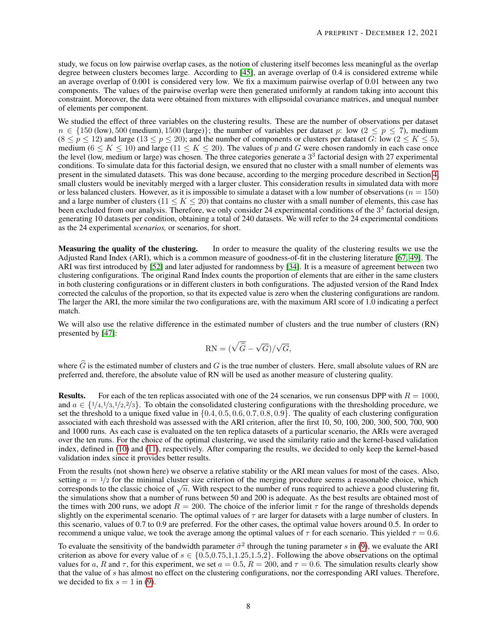study, we focus on low pairwise overlap cases, as the notion of clustering itself becomes less meaningful as the overlap degree between clusters becomes large. According to [\[45\]](#page-15-18), an average overlap of 0.4 is considered extreme while an average overlap of 0.001 is considered very low. We fix a maximum pairwise overlap of 0.01 between any two components. The values of the pairwise overlap were then generated uniformly at random taking into account this constraint. Moreover, the data were obtained from mixtures with ellipsoidal covariance matrices, and unequal number of elements per component.

We studied the effect of three variables on the clustering results. These are the number of observations per dataset  $n \in \{150 \text{ (low)}, 500 \text{ (medium)}, 1500 \text{ (large)}\};$  the number of variables per dataset p: low  $(2 \le p \le 7)$ , medium  $(8 \le p \le 12)$  and large  $(13 \le p \le 20)$ ; and the number of components or clusters per dataset G: low  $(2 \le K \le 5)$ , medium ( $6 \le K \le 10$ ) and large ( $11 \le K \le 20$ ). The values of p and G were chosen randomly in each case once the level (low, medium or large) was chosen. The three categories generate a 3<sup>3</sup> factorial design with 27 experimental conditions. To simulate data for this factorial design, we ensured that no cluster with a small number of elements was present in the simulated datasets. This was done because, according to the merging procedure described in Section [4,](#page-4-0) small clusters would be inevitably merged with a larger cluster. This consideration results in simulated data with more or less balanced clusters. However, as it is impossible to simulate a dataset with a low number of observations ( $n = 150$ ) and a large number of clusters (11  $\le K \le 20$ ) that contains no cluster with a small number of elements, this case has been excluded from our analysis. Therefore, we only consider 24 experimental conditions of the  $3<sup>3</sup>$  factorial design, generating 10 datasets per condition, obtaining a total of 240 datasets. We will refer to the 24 experimental conditions as the 24 experimental *scenarios,* or scenarios, for short.

Measuring the quality of the clustering. In order to measure the quality of the clustering results we use the Adjusted Rand Index (ARI), which is a common measure of goodness-of-fit in the clustering literature [\[67,](#page-16-14) [49\]](#page-16-9). The ARI was first introduced by [\[52\]](#page-16-15) and later adjusted for randomness by [\[34\]](#page-15-19). It is a measure of agreement between two clustering configurations. The original Rand Index counts the proportion of elements that are either in the same clusters in both clustering configurations or in different clusters in both configurations. The adjusted version of the Rand Index corrected the calculus of the proportion, so that its expected value is zero when the clustering configurations are random. The larger the ARI, the more similar the two configurations are, with the maximum ARI score of 1.0 indicating a perfect match.

We will also use the relative difference in the estimated number of clusters and the true number of clusters (RN) presented by [\[47\]](#page-15-20):

$$
RN = (\sqrt{\widehat{G}} - \sqrt{G})/\sqrt{G},
$$

where  $\hat{G}$  is the estimated number of clusters and G is the true number of clusters. Here, small absolute values of RN are preferred and, therefore, the absolute value of RN will be used as another measure of clustering quality.

**Results.** For each of the ten replicas associated with one of the 24 scenarios, we run consensus DPP with  $R = 1000$ , and  $a \in \{1/4, 1/3, 1/2, 2/3\}$ . To obtain the consolidated clustering configurations with the thresholding procedure, we set the threshold to a unique fixed value in  $\{0.4, 0.5, 0.6, 0.7, 0.8, 0.9\}$ . The quality of each clustering configuration associated with each threshold was assessed with the ARI criterion, after the first 10, 50, 100, 200, 300, 500, 700, 900 and 1000 runs. As each case is evaluated on the ten replica datasets of a particular scenario, the ARIs were averaged over the ten runs. For the choice of the optimal clustering, we used the similarity ratio and the kernel-based validation index, defined in [\(10\)](#page-6-2) and [\(11\)](#page-6-1), respectively. After comparing the results, we decided to only keep the kernel-based validation index since it provides better results.

From the results (not shown here) we observe a relative stability or the ARI mean values for most of the cases. Also, setting  $a = \frac{1}{2}$  for the minimal cluster size criterion of the merging procedure seems a reasonable choice, which setting  $a = \frac{1}{2}$  for the minimal cluster size criterion of the merging procedure seems a reasonable choice, which corresponds to the classic choice of  $\sqrt{n}$ . With respect to the number of runs required to achieve a go the simulations show that a number of runs between 50 and 200 is adequate. As the best results are obtained most of the times with 200 runs, we adopt  $R = 200$ . The choice of the inferior limit  $\tau$  for the range of thresholds depends slightly on the experimental scenario. The optimal values of  $\tau$  are larger for datasets with a large number of clusters. In this scenario, values of 0.7 to 0.9 are preferred. For the other cases, the optimal value hovers around 0.5. In order to recommend a unique value, we took the average among the optimal values of  $\tau$  for each scenario. This yielded  $\tau = 0.6$ .

To evaluate the sensitivity of the bandwidth parameter  $\hat{\sigma}^2$  through the tuning parameter s in [\(9\)](#page-4-2), we evaluate the ARI criterion as above for every value of  $s \in \{0.5, 0.75, 1, 1.25, 1.5, 2\}$ . Following the above observations on the optimal values for a, R and  $\tau$ , for this experiment, we set  $a = 0.5$ ,  $R = 200$ , and  $\tau = 0.6$ . The simulation results clearly show that the value of s has almost no effect on the clustering configurations, nor the corresponding ARI values. Therefore, we decided to fix  $s = 1$  in [\(9\)](#page-4-2).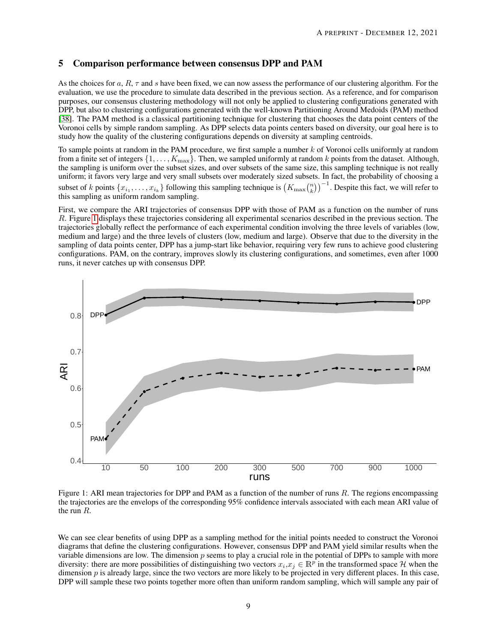# <span id="page-8-0"></span>5 Comparison performance between consensus DPP and PAM

As the choices for a,  $R$ ,  $\tau$  and s have been fixed, we can now assess the performance of our clustering algorithm. For the evaluation, we use the procedure to simulate data described in the previous section. As a reference, and for comparison purposes, our consensus clustering methodology will not only be applied to clustering configurations generated with DPP, but also to clustering configurations generated with the well-known Partitioning Around Medoids (PAM) method [\[38\]](#page-15-6). The PAM method is a classical partitioning technique for clustering that chooses the data point centers of the Voronoi cells by simple random sampling. As DPP selects data points centers based on diversity, our goal here is to study how the quality of the clustering configurations depends on diversity at sampling centroids.

To sample points at random in the PAM procedure, we first sample a number  $k$  of Voronoi cells uniformly at random from a finite set of integers  $\{1, \ldots, K_{\max}\}$ . Then, we sampled uniformly at random k points from the dataset. Although, the sampling is uniform over the subset sizes, and over subsets of the same size, this sampling technique is not really uniform; it favors very large and very small subsets over moderately sized subsets. In fact, the probability of choosing a subset of k points  $\{x_{i_1}, \ldots, x_{i_k}\}$  following this sampling technique is  $(K_{\max} {n \choose k})^{-1}$ . Despite this fact, we will refer to this sampling as uniform random sampling.

First, we compare the ARI trajectories of consensus DPP with those of PAM as a function on the number of runs R. Figure [1](#page-8-1) displays these trajectories considering all experimental scenarios described in the previous section. The trajectories globally reflect the performance of each experimental condition involving the three levels of variables (low, medium and large) and the three levels of clusters (low, medium and large). Observe that due to the diversity in the sampling of data points center, DPP has a jump-start like behavior, requiring very few runs to achieve good clustering configurations. PAM, on the contrary, improves slowly its clustering configurations, and sometimes, even after 1000 runs, it never catches up with consensus DPP.

<span id="page-8-1"></span>

Figure 1: ARI mean trajectories for DPP and PAM as a function of the number of runs  $R$ . The regions encompassing the trajectories are the envelops of the corresponding 95% confidence intervals associated with each mean ARI value of the run R.

We can see clear benefits of using DPP as a sampling method for the initial points needed to construct the Voronoi diagrams that define the clustering configurations. However, consensus DPP and PAM yield similar results when the variable dimensions are low. The dimension  $p$  seems to play a crucial role in the potential of DPPs to sample with more diversity: there are more possibilities of distinguishing two vectors  $x_i, x_j \in \mathbb{R}^p$  in the transformed space H when the dimension  $p$  is already large, since the two vectors are more likely to be projected in very different places. In this case, DPP will sample these two points together more often than uniform random sampling, which will sample any pair of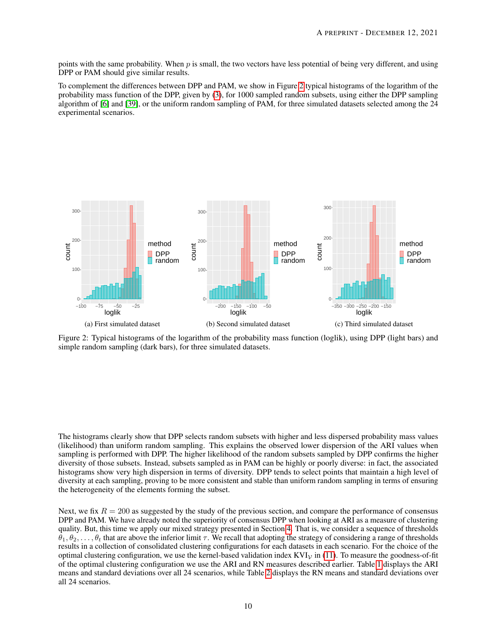points with the same probability. When p is small, the two vectors have less potential of being very different, and using DPP or PAM should give similar results.

To complement the differences between DPP and PAM, we show in Figure [2](#page-9-0) typical histograms of the logarithm of the probability mass function of the DPP, given by [\(3\)](#page-2-2), for 1000 sampled random subsets, using either the DPP sampling algorithm of [\[6\]](#page-14-3) and [\[39\]](#page-15-1), or the uniform random sampling of PAM, for three simulated datasets selected among the 24 experimental scenarios.

<span id="page-9-0"></span>

Figure 2: Typical histograms of the logarithm of the probability mass function (loglik), using DPP (light bars) and simple random sampling (dark bars), for three simulated datasets.

The histograms clearly show that DPP selects random subsets with higher and less dispersed probability mass values (likelihood) than uniform random sampling. This explains the observed lower dispersion of the ARI values when sampling is performed with DPP. The higher likelihood of the random subsets sampled by DPP confirms the higher diversity of those subsets. Instead, subsets sampled as in PAM can be highly or poorly diverse: in fact, the associated histograms show very high dispersion in terms of diversity. DPP tends to select points that maintain a high level of diversity at each sampling, proving to be more consistent and stable than uniform random sampling in terms of ensuring the heterogeneity of the elements forming the subset.

Next, we fix  $R = 200$  as suggested by the study of the previous section, and compare the performance of consensus DPP and PAM. We have already noted the superiority of consensus DPP when looking at ARI as a measure of clustering quality. But, this time we apply our mixed strategy presented in Section [4.](#page-4-0) That is, we consider a sequence of thresholds  $\theta_1, \theta_2, \ldots, \theta_t$  that are above the inferior limit  $\tau$ . We recall that adopting the strategy of considering a range of thresholds results in a collection of consolidated clustering configurations for each datasets in each scenario. For the choice of the optimal clustering configuration, we use the kernel-based validation index  $KVI<sub>V</sub>$  in [\(11\)](#page-6-1). To measure the goodness-of-fit of the optimal clustering configuration we use the ARI and RN measures described earlier. Table [1](#page-10-0) displays the ARI means and standard deviations over all 24 scenarios, while Table [2](#page-10-1) displays the RN means and standard deviations over all 24 scenarios.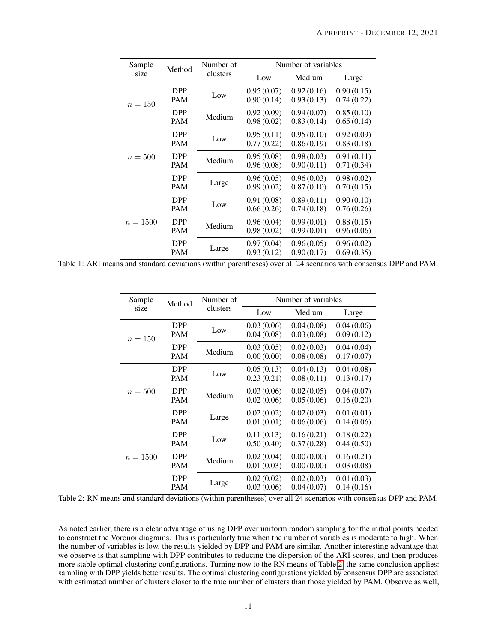<span id="page-10-0"></span>

| Sample     | Method                             | Number of                | Number of variables                       |                          |                          |
|------------|------------------------------------|--------------------------|-------------------------------------------|--------------------------|--------------------------|
| size       |                                    | clusters                 | Medium<br>Low<br>0.95(0.07)<br>0.92(0.16) | Large                    |                          |
| $n = 150$  | <b>DPP</b><br><b>PAM</b>           | Low                      | 0.90(0.14)                                | 0.93(0.13)               | 0.90(0.15)<br>0.74(0.22) |
|            | <b>DPP</b><br>Medium<br><b>PAM</b> | 0.92(0.09)<br>0.98(0.02) | 0.94(0.07)<br>0.83(0.14)                  | 0.85(0.10)<br>0.65(0.14) |                          |
| $n=500$    | <b>DPP</b><br><b>PAM</b>           | Low                      | 0.95(0.11)<br>0.77(0.22)                  | 0.95(0.10)<br>0.86(0.19) | 0.92(0.09)<br>0.83(0.18) |
|            | <b>DPP</b><br><b>PAM</b>           | Medium                   | 0.95(0.08)<br>0.96(0.08)                  | 0.98(0.03)<br>0.90(0.11) | 0.91(0.11)<br>0.71(0.34) |
|            | <b>DPP</b><br><b>PAM</b>           | Large                    | 0.96(0.05)<br>0.99(0.02)                  | 0.96(0.03)<br>0.87(0.10) | 0.98(0.02)<br>0.70(0.15) |
| $n = 1500$ | <b>DPP</b><br><b>PAM</b>           | Low                      | 0.91(0.08)<br>0.66(0.26)                  | 0.89(0.11)<br>0.74(0.18) | 0.90(0.10)<br>0.76(0.26) |
|            | <b>DPP</b><br><b>PAM</b>           | Medium                   | 0.96(0.04)<br>0.98(0.02)                  | 0.99(0.01)<br>0.99(0.01) | 0.88(0.15)<br>0.96(0.06) |
|            | <b>DPP</b><br><b>PAM</b>           | Large                    | 0.97(0.04)<br>0.93(0.12)                  | 0.96(0.05)<br>0.90(0.17) | 0.96(0.02)<br>0.69(0.35) |

<span id="page-10-1"></span>Table 1: ARI means and standard deviations (within parentheses) over all 24 scenarios with consensus DPP and PAM.

| Sample     | Method                   | Number of | Number of variables                    |                                                                                            |                          |
|------------|--------------------------|-----------|----------------------------------------|--------------------------------------------------------------------------------------------|--------------------------|
| size       |                          | clusters  | Low                                    | Medium<br>0.04(0.08)<br>0.03(0.08)<br>0.02(0.03)<br>0.08(0.08)<br>0.04(0.13)<br>0.08(0.11) | Large                    |
| $n = 150$  | <b>DPP</b><br><b>PAM</b> | Low       | 0.03(0.06)<br>0.04(0.08)               |                                                                                            | 0.04(0.06)<br>0.09(0.12) |
|            | <b>DPP</b><br><b>PAM</b> | Medium    | 0.03(0.05)<br>0.00(0.00)<br>0.05(0.13) |                                                                                            | 0.04(0.04)<br>0.17(0.07) |
| $n=500$    | <b>DPP</b><br><b>PAM</b> | Low       | 0.23(0.21)                             |                                                                                            | 0.04(0.08)<br>0.13(0.17) |
|            | <b>DPP</b><br><b>PAM</b> | Medium    | 0.03(0.06)<br>0.02(0.06)               | 0.02(0.05)<br>0.05(0.06)                                                                   | 0.04(0.07)<br>0.16(0.20) |
|            | <b>DPP</b><br><b>PAM</b> | Large     | 0.02(0.02)<br>0.01(0.01)               | 0.02(0.03)<br>0.06(0.06)                                                                   | 0.01(0.01)<br>0.14(0.06) |
| $n = 1500$ | <b>DPP</b><br><b>PAM</b> | Low       | 0.11(0.13)<br>0.50(0.40)               | 0.16(0.21)<br>0.37(0.28)                                                                   | 0.18(0.22)<br>0.44(0.50) |
|            | <b>DPP</b><br><b>PAM</b> | Medium    | 0.02(0.04)<br>0.01(0.03)               | 0.00(0.00)<br>0.00(0.00)                                                                   | 0.16(0.21)<br>0.03(0.08) |
|            | <b>DPP</b><br><b>PAM</b> | Large     | 0.02(0.02)<br>0.03(0.06)               | 0.02(0.03)<br>0.04(0.07)                                                                   | 0.01(0.03)<br>0.14(0.16) |

Table 2: RN means and standard deviations (within parentheses) over all 24 scenarios with consensus DPP and PAM.

As noted earlier, there is a clear advantage of using DPP over uniform random sampling for the initial points needed to construct the Voronoi diagrams. This is particularly true when the number of variables is moderate to high. When the number of variables is low, the results yielded by DPP and PAM are similar. Another interesting advantage that we observe is that sampling with DPP contributes to reducing the dispersion of the ARI scores, and then produces more stable optimal clustering configurations. Turning now to the RN means of Table [2,](#page-10-1) the same conclusion applies: sampling with DPP yields better results. The optimal clustering configurations yielded by consensus DPP are associated with estimated number of clusters closer to the true number of clusters than those yielded by PAM. Observe as well,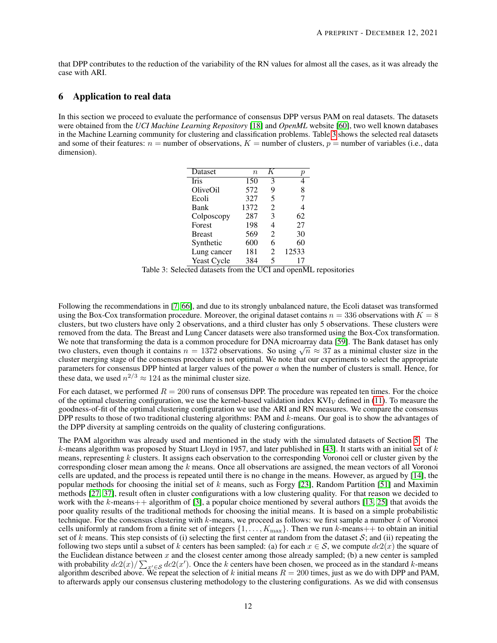that DPP contributes to the reduction of the variability of the RN values for almost all the cases, as it was already the case with ARI.

#### <span id="page-11-0"></span>6 Application to real data

<span id="page-11-1"></span>In this section we proceed to evaluate the performance of consensus DPP versus PAM on real datasets. The datasets were obtained from the *UCI Machine Learning Repository* [\[18\]](#page-14-16) and *OpenML* website [\[60\]](#page-16-16), two well known databases in the Machine Learning community for clustering and classification problems. Table [3](#page-11-1) shows the selected real datasets and some of their features:  $n =$  number of observations,  $K =$  number of clusters,  $p =$  number of variables (i.e., data dimension).

| Dataset       | $\eta$ |                | р     |
|---------------|--------|----------------|-------|
| Iris          | 150    | 3              |       |
| OliveOil      | 572    | 9              | 8     |
| Ecoli         | 327    | 5              | 7     |
| Bank          | 1372   | 2              | 4     |
| Colposcopy    | 287    | 3              | 62    |
| Forest        | 198    | 4              | 27    |
| <b>Breast</b> | 569    | $\mathfrak{D}$ | 30    |
| Synthetic     | 600    | 6              | 60    |
| Lung cancer   | 181    | 2              | 12533 |
| Yeast Cycle   | 384    | 5              |       |

Table 3: Selected datasets from the UCI and openML repositories

Following the recommendations in [\[7,](#page-14-17) [66\]](#page-16-17), and due to its strongly unbalanced nature, the Ecoli dataset was transformed using the Box-Cox transformation procedure. Moreover, the original dataset contains  $n = 336$  observations with  $K = 8$ clusters, but two clusters have only 2 observations, and a third cluster has only 5 observations. These clusters were removed from the data. The Breast and Lung Cancer datasets were also transformed using the Box-Cox transformation. We note that transforming the data is a common procedure for DNA microarray data [\[59\]](#page-16-18). The Bank dataset has only we note that transforming the data is a common procedure for DNA microarray data [59]. The Bank dataset has only<br>two clusters, even though it contains  $n = 1372$  observations. So using  $\sqrt{n} \approx 37$  as a minimal cluster size cluster merging stage of the consensus procedure is not optimal. We note that our experiments to select the appropriate parameters for consensus DPP hinted at larger values of the power  $\alpha$  when the number of clusters is small. Hence, for these data, we used  $n^{2/3} \approx 124$  as the minimal cluster size.

For each dataset, we performed  $R = 200$  runs of consensus DPP. The procedure was repeated ten times. For the choice of the optimal clustering configuration, we use the kernel-based validation index  $KVI_V$  defined in [\(11\)](#page-6-1). To measure the goodness-of-fit of the optimal clustering configuration we use the ARI and RN measures. We compare the consensus DPP results to those of two traditional clustering algorithms: PAM and k-means. Our goal is to show the advantages of the DPP diversity at sampling centroids on the quality of clustering configurations.

The PAM algorithm was already used and mentioned in the study with the simulated datasets of Section [5.](#page-8-0) The k-means algorithm was proposed by Stuart Lloyd in 1957, and later published in [\[43\]](#page-15-7). It starts with an initial set of  $k$ means, representing  $k$  clusters. It assigns each observation to the corresponding Voronoi cell or cluster given by the corresponding closer mean among the k means. Once all observations are assigned, the mean vectors of all Voronoi cells are updated, and the process is repeated until there is no change in the means. However, as argued by [\[14\]](#page-14-18), the popular methods for choosing the initial set of k means, such as Forgy [\[23\]](#page-15-21), Random Partition [\[51\]](#page-16-19) and Maximin methods [\[27,](#page-15-22) [37\]](#page-15-23), result often in cluster configurations with a low clustering quality. For that reason we decided to work with the k-means++ algorithm of [\[3\]](#page-14-19), a popular choice mentioned by several authors [\[13,](#page-14-20) [25\]](#page-15-24) that avoids the poor quality results of the traditional methods for choosing the initial means. It is based on a simple probabilistic technique. For the consensus clustering with  $k$ -means, we proceed as follows: we first sample a number  $k$  of Voronoi cells uniformly at random from a finite set of integers  $\{1, \ldots, K_{\text{max}}\}$ . Then we run k-means + + to obtain an initial set of k means. This step consists of (i) selecting the first center at random from the dataset  $S$ ; and (ii) repeating the following two steps until a subset of k centers has been sampled: (a) for each  $x \in S$ , we compute  $dc2(x)$  the square of the Euclidean distance between  $x$  and the closest center among those already sampled; (b) a new center is sampled with probability  $dc2(x)/\sum_{x'\in\mathcal{S}} dc2(x')$ . Once the k centers have been chosen, we proceed as in the standard k-means algorithm described above. We repeat the selection of k initial means  $R = 200$  times, just as we do with DPP and PAM, to afterwards apply our consensus clustering methodology to the clustering configurations. As we did with consensus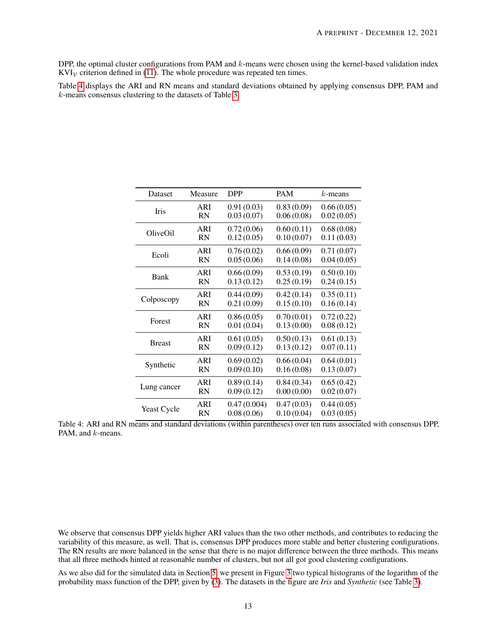DPP, the optimal cluster configurations from PAM and  $k$ -means were chosen using the kernel-based validation index  $KVI<sub>V</sub>$  criterion defined in [\(11\)](#page-6-1). The whole procedure was repeated ten times.

Table [4](#page-12-0) displays the ARI and RN means and standard deviations obtained by applying consensus DPP, PAM and k-means consensus clustering to the datasets of Table [3.](#page-11-1)

<span id="page-12-0"></span>

| Dataset       | Measure   | <b>DPP</b>  | <b>PAM</b> | $k$ -means |
|---------------|-----------|-------------|------------|------------|
| Iris          | ARI       | 0.91(0.03)  | 0.83(0.09) | 0.66(0.05) |
|               | <b>RN</b> | 0.03(0.07)  | 0.06(0.08) | 0.02(0.05) |
| OliveOil      | ARI       | 0.72(0.06)  | 0.60(0.11) | 0.68(0.08) |
|               | <b>RN</b> | 0.12(0.05)  | 0.10(0.07) | 0.11(0.03) |
| Ecoli         | ARI       | 0.76(0.02)  | 0.66(0.09) | 0.71(0.07) |
|               | <b>RN</b> | 0.05(0.06)  | 0.14(0.08) | 0.04(0.05) |
| Bank          | ARI       | 0.66(0.09)  | 0.53(0.19) | 0.50(0.10) |
|               | <b>RN</b> | 0.13(0.12)  | 0.25(0.19) | 0.24(0.15) |
| Colposcopy    | ARI       | 0.44(0.09)  | 0.42(0.14) | 0.35(0.11) |
|               | <b>RN</b> | 0.21(0.09)  | 0.15(0.10) | 0.16(0.14) |
| Forest        | ARI       | 0.86(0.05)  | 0.70(0.01) | 0.72(0.22) |
|               | <b>RN</b> | 0.01(0.04)  | 0.13(0.00) | 0.08(0.12) |
| <b>Breast</b> | ARI       | 0.61(0.05)  | 0.50(0.13) | 0.61(0.13) |
|               | <b>RN</b> | 0.09(0.12)  | 0.13(0.12) | 0.07(0.11) |
| Synthetic     | ARI       | 0.69(0.02)  | 0.66(0.04) | 0.64(0.01) |
|               | <b>RN</b> | 0.09(0.10)  | 0.16(0.08) | 0.13(0.07) |
| Lung cancer   | ARI       | 0.89(0.14)  | 0.84(0.34) | 0.65(0.42) |
|               | <b>RN</b> | 0.09(0.12)  | 0.00(0.00) | 0.02(0.07) |
| Yeast Cycle   | ARI       | 0.47(0.004) | 0.47(0.03) | 0.44(0.05) |
|               | <b>RN</b> | 0.08(0.06)  | 0.10(0.04) | 0.03(0.05) |

Table 4: ARI and RN means and standard deviations (within parentheses) over ten runs associated with consensus DPP, PAM, and  $k$ -means.

We observe that consensus DPP yields higher ARI values than the two other methods, and contributes to reducing the variability of this measure, as well. That is, consensus DPP produces more stable and better clustering configurations. The RN results are more balanced in the sense that there is no major difference between the three methods. This means that all three methods hinted at reasonable number of clusters, but not all got good clustering configurations.

As we also did for the simulated data in Section [5,](#page-8-0) we present in Figure [3](#page-13-1) two typical histograms of the logarithm of the probability mass function of the DPP, given by [\(3\)](#page-2-2). The datasets in the figure are *Iris* and *Synthetic* (see Table [3\)](#page-11-1).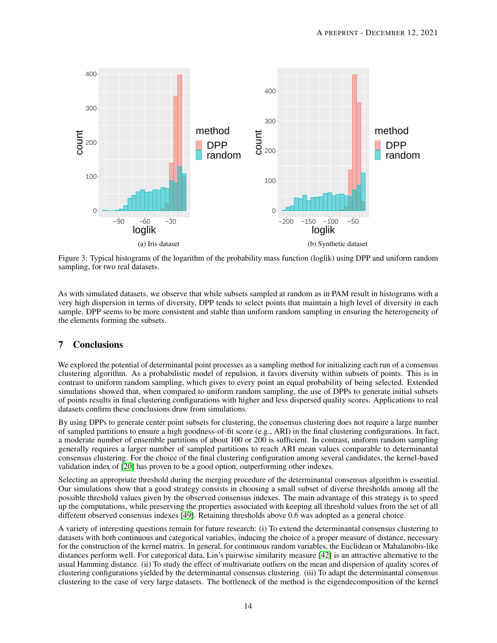<span id="page-13-1"></span>

Figure 3: Typical histograms of the logarithm of the probability mass function (loglik) using DPP and uniform random sampling, for two real datasets.

As with simulated datasets, we observe that while subsets sampled at random as in PAM result in histograms with a very high dispersion in terms of diversity, DPP tends to select points that maintain a high level of diversity in each sample. DPP seems to be more consistent and stable than uniform random sampling in ensuring the heterogeneity of the elements forming the subsets.

# <span id="page-13-0"></span>7 Conclusions

We explored the potential of determinantal point processes as a sampling method for initializing each run of a consensus clustering algorithm. As a probabilistic model of repulsion, it favors diversity within subsets of points. This is in contrast to uniform random sampling, which gives to every point an equal probability of being selected. Extended simulations showed that, when compared to uniform random sampling, the use of DPPs to generate initial subsets of points results in final clustering configurations with higher and less dispersed quality scores. Applications to real datasets confirm these conclusions draw from simulations.

By using DPPs to generate center point subsets for clustering, the consensus clustering does not require a large number of sampled partitions to ensure a high goodness-of-fit score (e.g., ARI) in the final clustering configurations. In fact, a moderate number of ensemble partitions of about 100 or 200 is sufficient. In contrast, uniform random sampling generally requires a larger number of sampled partitions to reach ARI mean values comparable to determinantal consensus clustering. For the choice of the final clustering configuration among several candidates, the kernel-based validation index of [\[20\]](#page-14-14) has proven to be a good option, outperforming other indexes.

Selecting an appropriate threshold during the merging procedure of the determinantal consensus algorithm is essential. Our simulations show that a good strategy consists in choosing a small subset of diverse thresholds among all the possible threshold values given by the observed consensus indexes. The main advantage of this strategy is to speed up the computations, while preserving the properties associated with keeping all threshold values from the set of all different observed consensus indexes [\[49\]](#page-16-9). Retaining thresholds above 0.6 was adopted as a general choice.

A variety of interesting questions remain for future research: (i) To extend the determinantal consensus clustering to datasets with both continuous and categorical variables, inducing the choice of a proper measure of distance, necessary for the construction of the kernel matrix. In general, for continuous random variables, the Euclidean or Mahalanobis-like distances perform well. For categorical data, Lin's pairwise similarity measure [\[42\]](#page-15-25) is an attractive alternative to the usual Hamming distance. (ii) To study the effect of multivariate outliers on the mean and dispersion of quality scores of clustering configurations yielded by the determinantal consensus clustering. (iii) To adapt the determinantal consensus clustering to the case of very large datasets. The bottleneck of the method is the eigendecomposition of the kernel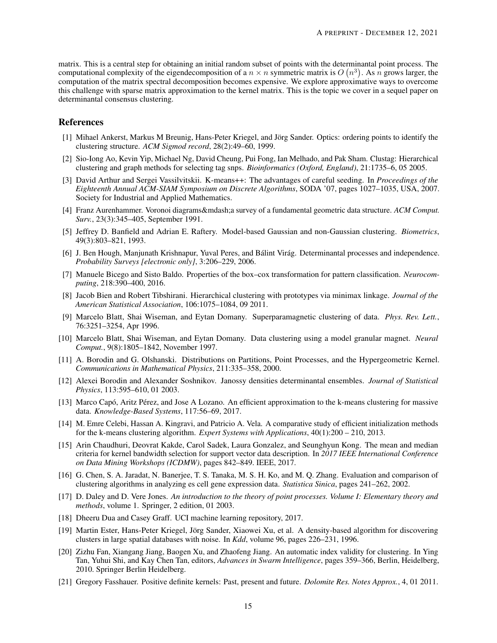matrix. This is a central step for obtaining an initial random subset of points with the determinantal point process. The computational complexity of the eigendecomposition of a  $n \times n$  symmetric matrix is  $O(n^3)$ . As n grows larger, the computation of the matrix spectral decomposition becomes expensive. We explore approximative ways to overcome this challenge with sparse matrix approximation to the kernel matrix. This is the topic we cover in a sequel paper on determinantal consensus clustering.

### References

- <span id="page-14-6"></span>[1] Mihael Ankerst, Markus M Breunig, Hans-Peter Kriegel, and Jörg Sander. Optics: ordering points to identify the clustering structure. *ACM Sigmod record*, 28(2):49–60, 1999.
- <span id="page-14-12"></span>[2] Sio-Iong Ao, Kevin Yip, Michael Ng, David Cheung, Pui Fong, Ian Melhado, and Pak Sham. Clustag: Hierarchical clustering and graph methods for selecting tag snps. *Bioinformatics (Oxford, England)*, 21:1735–6, 05 2005.
- <span id="page-14-19"></span>[3] David Arthur and Sergei Vassilvitskii. K-means++: The advantages of careful seeding. In *Proceedings of the Eighteenth Annual ACM-SIAM Symposium on Discrete Algorithms*, SODA '07, pages 1027–1035, USA, 2007. Society for Industrial and Applied Mathematics.
- <span id="page-14-11"></span>[4] Franz Aurenhammer. Voronoi diagrams—a survey of a fundamental geometric data structure. *ACM Comput. Surv.*, 23(3):345–405, September 1991.
- <span id="page-14-4"></span>[5] Jeffrey D. Banfield and Adrian E. Raftery. Model-based Gaussian and non-Gaussian clustering. *Biometrics*, 49(3):803–821, 1993.
- <span id="page-14-3"></span>[6] J. Ben Hough, Manjunath Krishnapur, Yuval Peres, and Bálint Virág. Determinantal processes and independence. *Probability Surveys [electronic only]*, 3:206–229, 2006.
- <span id="page-14-17"></span>[7] Manuele Bicego and Sisto Baldo. Properties of the box–cox transformation for pattern classification. *Neurocomputing*, 218:390–400, 2016.
- <span id="page-14-13"></span>[8] Jacob Bien and Robert Tibshirani. Hierarchical clustering with prototypes via minimax linkage. *Journal of the American Statistical Association*, 106:1075–1084, 09 2011.
- <span id="page-14-7"></span>[9] Marcelo Blatt, Shai Wiseman, and Eytan Domany. Superparamagnetic clustering of data. *Phys. Rev. Lett.*, 76:3251–3254, Apr 1996.
- <span id="page-14-8"></span>[10] Marcelo Blatt, Shai Wiseman, and Eytan Domany. Data clustering using a model granular magnet. *Neural Comput.*, 9(8):1805–1842, November 1997.
- <span id="page-14-0"></span>[11] A. Borodin and G. Olshanski. Distributions on Partitions, Point Processes, and the Hypergeometric Kernel. *Communications in Mathematical Physics*, 211:335–358, 2000.
- <span id="page-14-2"></span>[12] Alexei Borodin and Alexander Soshnikov. Janossy densities determinantal ensembles. *Journal of Statistical Physics*, 113:595–610, 01 2003.
- <span id="page-14-20"></span>[13] Marco Capó, Aritz Pérez, and Jose A Lozano. An efficient approximation to the k-means clustering for massive data. *Knowledge-Based Systems*, 117:56–69, 2017.
- <span id="page-14-18"></span>[14] M. Emre Celebi, Hassan A. Kingravi, and Patricio A. Vela. A comparative study of efficient initialization methods for the k-means clustering algorithm. *Expert Systems with Applications*, 40(1):200 – 210, 2013.
- <span id="page-14-10"></span>[15] Arin Chaudhuri, Deovrat Kakde, Carol Sadek, Laura Gonzalez, and Seunghyun Kong. The mean and median criteria for kernel bandwidth selection for support vector data description. In *2017 IEEE International Conference on Data Mining Workshops (ICDMW)*, pages 842–849. IEEE, 2017.
- <span id="page-14-15"></span>[16] G. Chen, S. A. Jaradat, N. Banerjee, T. S. Tanaka, M. S. H. Ko, and M. Q. Zhang. Evaluation and comparison of clustering algorithms in analyzing es cell gene expression data. *Statistica Sinica*, pages 241–262, 2002.
- <span id="page-14-1"></span>[17] D. Daley and D. Vere Jones. *An introduction to the theory of point processes. Volume I: Elementary theory and methods*, volume 1. Springer, 2 edition, 01 2003.
- <span id="page-14-16"></span>[18] Dheeru Dua and Casey Graff. UCI machine learning repository, 2017.
- <span id="page-14-5"></span>[19] Martin Ester, Hans-Peter Kriegel, Jörg Sander, Xiaowei Xu, et al. A density-based algorithm for discovering clusters in large spatial databases with noise. In *Kdd*, volume 96, pages 226–231, 1996.
- <span id="page-14-14"></span>[20] Zizhu Fan, Xiangang Jiang, Baogen Xu, and Zhaofeng Jiang. An automatic index validity for clustering. In Ying Tan, Yuhui Shi, and Kay Chen Tan, editors, *Advances in Swarm Intelligence*, pages 359–366, Berlin, Heidelberg, 2010. Springer Berlin Heidelberg.
- <span id="page-14-9"></span>[21] Gregory Fasshauer. Positive definite kernels: Past, present and future. *Dolomite Res. Notes Approx.*, 4, 01 2011.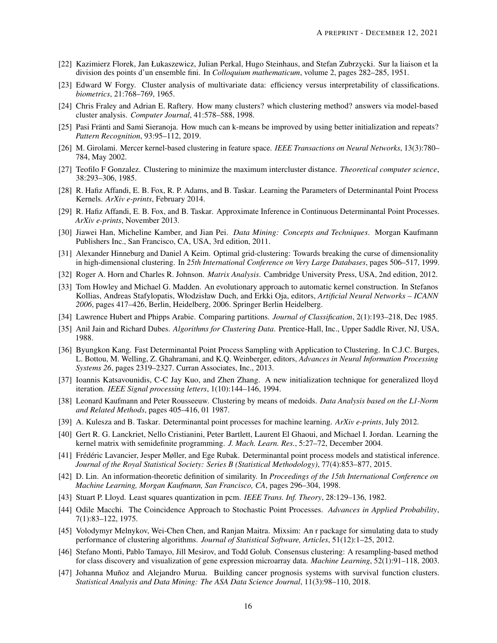- <span id="page-15-5"></span>[22] Kazimierz Florek, Jan Łukaszewicz, Julian Perkal, Hugo Steinhaus, and Stefan Zubrzycki. Sur la liaison et la division des points d'un ensemble fini. In *Colloquium mathematicum*, volume 2, pages 282–285, 1951.
- <span id="page-15-21"></span>[23] Edward W Forgy. Cluster analysis of multivariate data: efficiency versus interpretability of classifications. *biometrics*, 21:768–769, 1965.
- <span id="page-15-9"></span>[24] Chris Fraley and Adrian E. Raftery. How many clusters? which clustering method? answers via model-based cluster analysis. *Computer Journal*, 41:578–588, 1998.
- <span id="page-15-24"></span>[25] Pasi Fränti and Sami Sieranoja. How much can k-means be improved by using better initialization and repeats? *Pattern Recognition*, 93:95–112, 2019.
- <span id="page-15-15"></span>[26] M. Girolami. Mercer kernel-based clustering in feature space. *IEEE Transactions on Neural Networks*, 13(3):780– 784, May 2002.
- <span id="page-15-22"></span>[27] Teofilo F Gonzalez. Clustering to minimize the maximum intercluster distance. *Theoretical computer science*, 38:293–306, 1985.
- <span id="page-15-14"></span>[28] R. Hafiz Affandi, E. B. Fox, R. P. Adams, and B. Taskar. Learning the Parameters of Determinantal Point Process Kernels. *ArXiv e-prints*, February 2014.
- <span id="page-15-2"></span>[29] R. Hafiz Affandi, E. B. Fox, and B. Taskar. Approximate Inference in Continuous Determinantal Point Processes. *ArXiv e-prints*, November 2013.
- <span id="page-15-8"></span>[30] Jiawei Han, Micheline Kamber, and Jian Pei. *Data Mining: Concepts and Techniques*. Morgan Kaufmann Publishers Inc., San Francisco, CA, USA, 3rd edition, 2011.
- <span id="page-15-10"></span>[31] Alexander Hinneburg and Daniel A Keim. Optimal grid-clustering: Towards breaking the curse of dimensionality in high-dimensional clustering. In *25th International Conference on Very Large Databases*, pages 506–517, 1999.
- <span id="page-15-16"></span>[32] Roger A. Horn and Charles R. Johnson. *Matrix Analysis*. Cambridge University Press, USA, 2nd edition, 2012.
- <span id="page-15-12"></span>[33] Tom Howley and Michael G. Madden. An evolutionary approach to automatic kernel construction. In Stefanos Kollias, Andreas Stafylopatis, Włodzisław Duch, and Erkki Oja, editors, *Artificial Neural Networks – ICANN 2006*, pages 417–426, Berlin, Heidelberg, 2006. Springer Berlin Heidelberg.
- <span id="page-15-19"></span>[34] Lawrence Hubert and Phipps Arabie. Comparing partitions. *Journal of Classification*, 2(1):193–218, Dec 1985.
- <span id="page-15-0"></span>[35] Anil Jain and Richard Dubes. *Algorithms for Clustering Data*. Prentice-Hall, Inc., Upper Saddle River, NJ, USA, 1988.
- <span id="page-15-13"></span>[36] Byungkon Kang. Fast Determinantal Point Process Sampling with Application to Clustering. In C.J.C. Burges, L. Bottou, M. Welling, Z. Ghahramani, and K.Q. Weinberger, editors, *Advances in Neural Information Processing Systems 26*, pages 2319–2327. Curran Associates, Inc., 2013.
- <span id="page-15-23"></span>[37] Ioannis Katsavounidis, C-C Jay Kuo, and Zhen Zhang. A new initialization technique for generalized lloyd iteration. *IEEE Signal processing letters*, 1(10):144–146, 1994.
- <span id="page-15-6"></span>[38] Leonard Kaufmann and Peter Rousseeuw. Clustering by means of medoids. *Data Analysis based on the L1-Norm and Related Methods*, pages 405–416, 01 1987.
- <span id="page-15-1"></span>[39] A. Kulesza and B. Taskar. Determinantal point processes for machine learning. *ArXiv e-prints*, July 2012.
- <span id="page-15-17"></span>[40] Gert R. G. Lanckriet, Nello Cristianini, Peter Bartlett, Laurent El Ghaoui, and Michael I. Jordan. Learning the kernel matrix with semidefinite programming. *J. Mach. Learn. Res.*, 5:27–72, December 2004.
- <span id="page-15-4"></span>[41] Frédéric Lavancier, Jesper Møller, and Ege Rubak. Determinantal point process models and statistical inference. *Journal of the Royal Statistical Society: Series B (Statistical Methodology)*, 77(4):853–877, 2015.
- <span id="page-15-25"></span>[42] D. Lin. An information-theoretic definition of similarity. In *Proceedings of the 15th International Conference on Machine Learning, Morgan Kaufmann, San Francisco, CA*, pages 296–304, 1998.
- <span id="page-15-7"></span>[43] Stuart P. Lloyd. Least squares quantization in pcm. *IEEE Trans. Inf. Theory*, 28:129–136, 1982.
- <span id="page-15-3"></span>[44] Odile Macchi. The Coincidence Approach to Stochastic Point Processes. *Advances in Applied Probability*, 7(1):83–122, 1975.
- <span id="page-15-18"></span>[45] Volodymyr Melnykov, Wei-Chen Chen, and Ranjan Maitra. Mixsim: An r package for simulating data to study performance of clustering algorithms. *Journal of Statistical Software, Articles*, 51(12):1–25, 2012.
- <span id="page-15-11"></span>[46] Stefano Monti, Pablo Tamayo, Jill Mesirov, and Todd Golub. Consensus clustering: A resampling-based method for class discovery and visualization of gene expression microarray data. *Machine Learning*, 52(1):91–118, 2003.
- <span id="page-15-20"></span>[47] Johanna Muñoz and Alejandro Murua. Building cancer prognosis systems with survival function clusters. *Statistical Analysis and Data Mining: The ASA Data Science Journal*, 11(3):98–110, 2018.